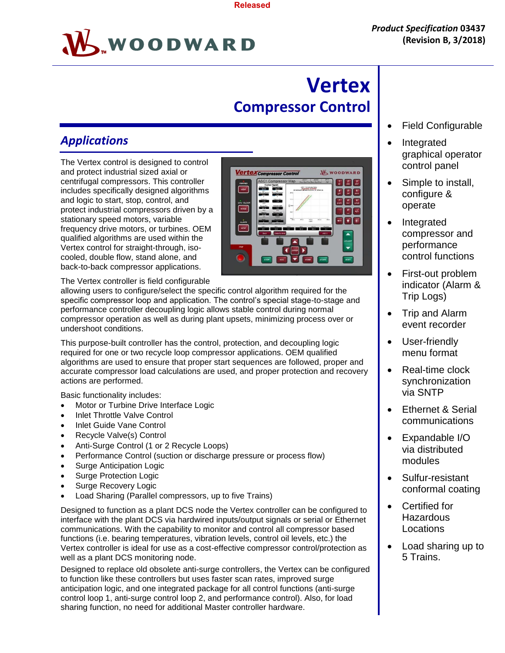**Vertex<sub>Cor</sub>** 



# **Vertex Compressor Control**

ssor Control

**W** WOODWARD

 $\begin{bmatrix} 1 \\ 0 \end{bmatrix}$   $\begin{bmatrix} 2 \\ \text{abc} \end{bmatrix}$   $\begin{bmatrix} 3 \\ \text{def} \end{bmatrix}$  $\begin{bmatrix} 4 \\ 201 \end{bmatrix}$   $\begin{bmatrix} 5 \\ Nl \end{bmatrix}$   $\begin{bmatrix} 6 \\ mnn \end{bmatrix}$  $\begin{array}{|c|c|c|}\hline 7 & 8 & 9 \\ \hline \text{pqrs} & \text{fuv} & \text{mxyz} \end{array}$  $\begin{bmatrix} 0 \\ -4 \end{bmatrix}$  $- 1$ 

 $\overline{\phantom{0}}$ 

# *Applications*

The Vertex control is designed to control and protect industrial sized axial or centrifugal compressors. This controller includes specifically designed algorithms and logic to start, stop, control, and protect industrial compressors driven by a stationary speed motors, variable frequency drive motors, or turbines. OEM qualified algorithms are used within the Vertex control for straight-through, isocooled, double flow, stand alone, and back-to-back compressor applications.

The Vertex controller is field configurable

allowing users to configure/select the specific control algorithm required for the specific compressor loop and application. The control's special stage-to-stage and performance controller decoupling logic allows stable control during normal compressor operation as well as during plant upsets, minimizing process over or undershoot conditions.

This purpose-built controller has the control, protection, and decoupling logic required for one or two recycle loop compressor applications. OEM qualified algorithms are used to ensure that proper start sequences are followed, proper and accurate compressor load calculations are used, and proper protection and recovery actions are performed.

Basic functionality includes:

- Motor or Turbine Drive Interface Logic
- Inlet Throttle Valve Control
- Inlet Guide Vane Control
- Recycle Valve(s) Control
- Anti-Surge Control (1 or 2 Recycle Loops)
- Performance Control (suction or discharge pressure or process flow)
- Surge Anticipation Logic
- Surge Protection Logic
- Surge Recovery Logic
- Load Sharing (Parallel compressors, up to five Trains)

Designed to function as a plant DCS node the Vertex controller can be configured to interface with the plant DCS via hardwired inputs/output signals or serial or Ethernet communications. With the capability to monitor and control all compressor based functions (i.e. bearing temperatures, vibration levels, control oil levels, etc.) the Vertex controller is ideal for use as a cost-effective compressor control/protection as well as a plant DCS monitoring node.

Designed to replace old obsolete anti-surge controllers, the Vertex can be configured to function like these controllers but uses faster scan rates, improved surge anticipation logic, and one integrated package for all control functions (anti-surge control loop 1, anti-surge control loop 2, and performance control). Also, for load sharing function, no need for additional Master controller hardware.

- Field Configurable
- Integrated graphical operator control panel
- Simple to install, configure & operate
- Integrated compressor and performance control functions
- First-out problem indicator (Alarm & Trip Logs)
- Trip and Alarm event recorder
- User-friendly menu format
- Real-time clock synchronization via SNTP
- Ethernet & Serial communications
- Expandable I/O via distributed modules
- Sulfur-resistant conformal coating
- Certified for **Hazardous** Locations
- Load sharing up to 5 Trains.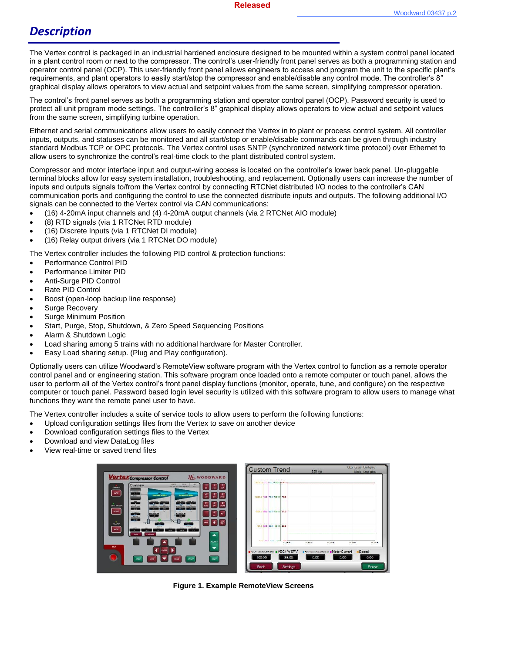### *Description*

The Vertex control is packaged in an industrial hardened enclosure designed to be mounted within a system control panel located in a plant control room or next to the compressor. The control's user-friendly front panel serves as both a programming station and operator control panel (OCP). This user-friendly front panel allows engineers to access and program the unit to the specific plant's requirements, and plant operators to easily start/stop the compressor and enable/disable any control mode. The controller's 8" graphical display allows operators to view actual and setpoint values from the same screen, simplifying compressor operation.

The control's front panel serves as both a programming station and operator control panel (OCP). Password security is used to protect all unit program mode settings. The controller's 8" graphical display allows operators to view actual and setpoint values from the same screen, simplifying turbine operation.

Ethernet and serial communications allow users to easily connect the Vertex in to plant or process control system. All controller inputs, outputs, and statuses can be monitored and all start/stop or enable/disable commands can be given through industry standard Modbus TCP or OPC protocols. The Vertex control uses SNTP (synchronized network time protocol) over Ethernet to allow users to synchronize the control's real-time clock to the plant distributed control system.

Compressor and motor interface input and output-wiring access is located on the controller's lower back panel. Un-pluggable terminal blocks allow for easy system installation, troubleshooting, and replacement. Optionally users can increase the number of inputs and outputs signals to/from the Vertex control by connecting RTCNet distributed I/O nodes to the controller's CAN communication ports and configuring the control to use the connected distribute inputs and outputs. The following additional I/O signals can be connected to the Vertex control via CAN communications:

- (16) 4-20mA input channels and (4) 4-20mA output channels (via 2 RTCNet AIO module)
- (8) RTD signals (via 1 RTCNet RTD module)
- (16) Discrete Inputs (via 1 RTCNet DI module)
- (16) Relay output drivers (via 1 RTCNet DO module)

The Vertex controller includes the following PID control & protection functions:

- Performance Control PID
- Performance Limiter PID
- Anti-Surge PID Control
- Rate PID Control
- Boost (open-loop backup line response)
- Surge Recovery
- Surge Minimum Position
- Start, Purge, Stop, Shutdown, & Zero Speed Sequencing Positions
- Alarm & Shutdown Logic
- Load sharing among 5 trains with no additional hardware for Master Controller.
- Easy Load sharing setup. (Plug and Play configuration).

Optionally users can utilize Woodward's RemoteView software program with the Vertex control to function as a remote operator control panel and or engineering station. This software program once loaded onto a remote computer or touch panel, allows the user to perform all of the Vertex control's front panel display functions (monitor, operate, tune, and configure) on the respective computer or touch panel. Password based login level security is utilized with this software program to allow users to manage what functions they want the remote panel user to have.

The Vertex controller includes a suite of service tools to allow users to perform the following functions:

- Upload configuration settings files from the Vertex to save on another device
- Download configuration settings files to the Vertex
- Download and view DataLog files
- View real-time or saved trend files

|                                                                                                                                                                                                                                                                                                                                                                                     | <b>Custom Trend</b>                             | 250 ms                                                | User Level: Configure<br>Mode: Operation |
|-------------------------------------------------------------------------------------------------------------------------------------------------------------------------------------------------------------------------------------------------------------------------------------------------------------------------------------------------------------------------------------|-------------------------------------------------|-------------------------------------------------------|------------------------------------------|
| <b>Vertex Compressor Control</b><br><b>W</b> WOODWARD<br>ASC1 MiG2<br>$\frac{1}{2}$<br>Overview<br>Zuiz Bod Pos Zuiz Bod Pos<br>$\ddot{\mathbf{e}}$<br><b>TRIMPED</b>                                                                                                                                                                                                               | 3000.0-10. -10. -200.0-102.0-                   |                                                       |                                          |
| <b>Live See</b><br>view<br>$-100$<br>AMC/L<br><b>Committee of Original</b><br>Concrete a Office<br><b>Link Branch</b><br>$\sim$<br><b>Anne Feater - Henry Ferrers</b><br><b>Autor Texas - Campy Person</b><br>$-140.0$<br>$-340$<br>$-3011$<br>1000                                                                                                                                 | 3260.0 T6.0 -76.0 -0.50.0 - 76.5                |                                                       |                                          |
| nev<br>CRU KN.OCK<br><b>DOTE</b><br>$rac{1}{2}$<br>Law Science Consulting<br><b>STORY SERVICE</b><br><b>B</b> wave<br><b>STEP OF</b><br>$-210$<br><b>MODE</b><br>$\approx$<br><b>DASK!</b><br>密<br><b>NOW!</b><br><b>Carterwise Av</b><br>$\frac{6.0 \text{ m/s} }{1.0 \text{ m}}$<br><b>T.Thistory</b><br>$-960.0$<br>$-100$<br><b>Editor</b><br><b>CARDS</b><br><b>CONTRACTOR</b> | 1500.0 82.0 83.0 800.0 \$1.0                    |                                                       |                                          |
| <b>PERMIT</b><br><b>TANK</b><br><b>All Marketing</b><br><b>STARTED</b><br><b>ALARM</b><br>$-0.01$<br><b>Police</b><br><b>Distant</b><br>PE OID<br>view<br>$-105.0$<br>2000<br>$\overline{\phantom{a}}$<br><b>COL</b><br>100.0<br>$-29.7$<br>Controller<br>Back                                                                                                                      | 150.0 28.0 23.0 - 80.0 26.6<br>an s             |                                                       |                                          |
| $\blacktriangle$<br><b>ADJUST</b>                                                                                                                                                                                                                                                                                                                                                   | are and ced are.<br>$00 + 0.0454$               | 11:35:09<br>11:25:24                                  | 11:25:29<br>11:20:54                     |
| <b>TRIP</b><br>$\overline{\phantom{a}}$<br><b>ENTER</b>                                                                                                                                                                                                                                                                                                                             | ASC1 Valve Demand #ASC1 WSPV<br>26.03<br>100.00 | Il Performance Valve Demand Il Motor Clurrent<br>0.00 | Speed<br>0.00<br>0.00                    |
| <b>RESET</b><br><b>START</b><br>$_{esc}$<br><b>STOP</b><br>HOME                                                                                                                                                                                                                                                                                                                     | <b>Settings</b><br>Back                         |                                                       | Pause.                                   |

**Figure 1. Example RemoteView Screens**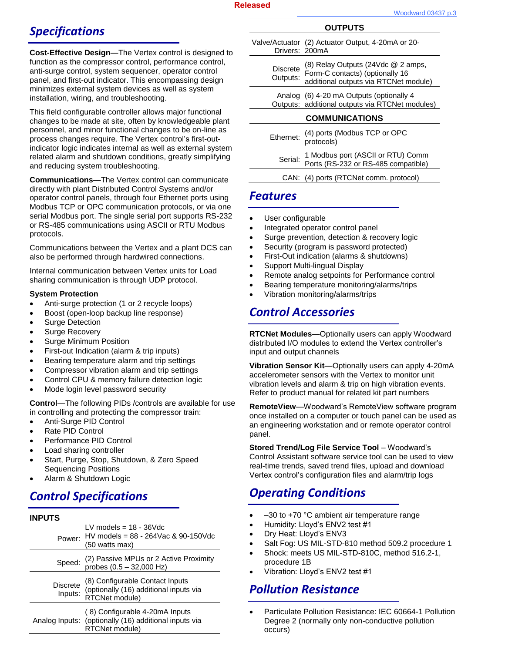# *Specifications*

**Cost-Effective Design**—The Vertex control is designed to function as the compressor control, performance control, anti-surge control, system sequencer, operator control panel, and first-out indicator. This encompassing design minimizes external system devices as well as system installation, wiring, and troubleshooting.

This field configurable controller allows major functional changes to be made at site, often by knowledgeable plant personnel, and minor functional changes to be on-line as process changes require. The Vertex control's first-outindicator logic indicates internal as well as external system related alarm and shutdown conditions, greatly simplifying and reducing system troubleshooting.

**Communications**—The Vertex control can communicate directly with plant Distributed Control Systems and/or operator control panels, through four Ethernet ports using Modbus TCP or OPC communication protocols, or via one serial Modbus port. The single serial port supports RS-232 or RS-485 communications using ASCII or RTU Modbus protocols.

Communications between the Vertex and a plant DCS can also be performed through hardwired connections.

Internal communication between Vertex units for Load sharing communication is through UDP protocol.

#### **System Protection**

- Anti-surge protection (1 or 2 recycle loops)
- Boost (open-loop backup line response)
- Surge Detection
- Surge Recovery
- Surge Minimum Position
- First-out Indication (alarm & trip inputs)
- Bearing temperature alarm and trip settings
- Compressor vibration alarm and trip settings
- Control CPU & memory failure detection logic
- Mode login level password security

**Control**—The following PIDs /controls are available for use in controlling and protecting the compressor train:

- Anti-Surge PID Control
- Rate PID Control
- Performance PID Control
- Load sharing controller
- Start, Purge, Stop, Shutdown, & Zero Speed Sequencing Positions
- Alarm & Shutdown Logic

## *Control Specifications*

| <b>INPUTS</b>              |                                                                                                           |
|----------------------------|-----------------------------------------------------------------------------------------------------------|
| Power:                     | LV models $= 18 - 36$ Vdc<br>HV models = $88 - 264$ Vac & 90-150Vdc<br>(50 watts max)                     |
| Speed:                     | (2) Passive MPUs or 2 Active Proximity<br>probes $(0.5 - 32,000$ Hz)                                      |
| <b>Discrete</b><br>Inputs: | (8) Configurable Contact Inputs<br>(optionally (16) additional inputs via<br>RTCNet module)               |
|                            | (8) Configurable 4-20mA Inputs<br>Analog Inputs: (optionally (16) additional inputs via<br>RTCNet module) |

| 00 I I U I U                |                                                                                                                       |  |
|-----------------------------|-----------------------------------------------------------------------------------------------------------------------|--|
| Drivers: 200mA              | Valve/Actuator (2) Actuator Output, 4-20mA or 20-                                                                     |  |
| <b>Discrete</b><br>Outputs: | $(8)$ Relay Outputs $(24)$ dc $@$ 2 amps,<br>Form-C contacts) (optionally 16<br>additional outputs via RTCNet module) |  |
|                             | Analog (6) 4-20 mA Outputs (optionally 4<br>Outputs: additional outputs via RTCNet modules)                           |  |
| <b>COMMUNICATIONS</b>       |                                                                                                                       |  |
| Ethernet:                   | (4) ports (Modbus TCP or OPC<br>protocols)                                                                            |  |
| Serial:                     | 1 Modbus port (ASCII or RTU) Comm<br>Ports (RS-232 or RS-485 compatible)                                              |  |

**OUTPUTS**

CAN: (4) ports (RTCNet comm. protocol)

#### *Features*

- User configurable
- Integrated operator control panel
- Surge prevention, detection & recovery logic
- Security (program is password protected)
- First-Out indication (alarms & shutdowns)
- Support Multi-lingual Display
- Remote analog setpoints for Performance control
- Bearing temperature monitoring/alarms/trips
- Vibration monitoring/alarms/trips

### *Control Accessories*

**RTCNet Modules**—Optionally users can apply Woodward distributed I/O modules to extend the Vertex controller's input and output channels

**Vibration Sensor Kit**—Optionally users can apply 4-20mA accelerometer sensors with the Vertex to monitor unit vibration levels and alarm & trip on high vibration events. Refer to product manual for related kit part numbers

**RemoteView**—Woodward's RemoteView software program once installed on a computer or touch panel can be used as an engineering workstation and or remote operator control panel.

**Stored Trend/Log File Service Tool** – Woodward's Control Assistant software service tool can be used to view real-time trends, saved trend files, upload and download Vertex control's configuration files and alarm/trip logs

## *Operating Conditions*

- –30 to +70 °C ambient air temperature range
- Humidity: Lloyd's ENV2 test #1
- Dry Heat: Lloyd's ENV3
- Salt Fog: US MIL-STD-810 method 509.2 procedure 1
- Shock: meets US MIL-STD-810C, method 516.2-1, procedure 1B
- Vibration: Lloyd's ENV2 test #1

### *Pollution Resistance*

 Particulate Pollution Resistance: IEC 60664-1 Pollution Degree 2 (normally only non-conductive pollution occurs)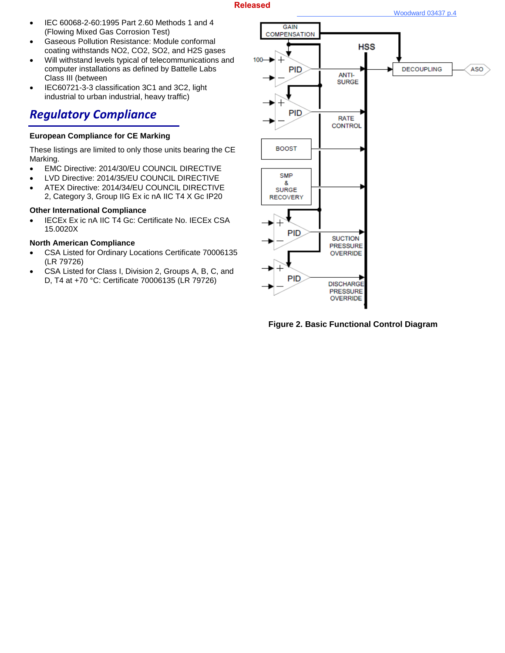#### **Released**

- IEC 60068-2-60:1995 Part 2.60 Methods 1 and 4 (Flowing Mixed Gas Corrosion Test)
- Gaseous Pollution Resistance: Module conformal coating withstands NO2, CO2, SO2, and H2S gases
- Will withstand levels typical of telecommunications and computer installations as defined by Battelle Labs Class III (between
- IEC60721-3-3 classification 3C1 and 3C2, light industrial to urban industrial, heavy traffic)

### *Regulatory Compliance*

#### **European Compliance for CE Marking**

These listings are limited to only those units bearing the CE Marking.

- EMC Directive: 2014/30/EU COUNCIL DIRECTIVE
- LVD Directive: 2014/35/EU COUNCIL DIRECTIVE
- ATEX Directive: 2014/34/EU COUNCIL DIRECTIVE 2, Category 3, Group IIG Ex ic nA IIC T4 X Gc IP20

#### **Other International Compliance**

• IECEx Ex ic nA IIC T4 Gc: Certificate No. IECEx CSA 15.0020X

#### **North American Compliance**

- CSA Listed for Ordinary Locations Certificate 70006135 (LR 79726)
- CSA Listed for Class I, Division 2, Groups A, B, C, and D, T4 at +70 °C: Certificate 70006135 (LR 79726)



**Figure 2. Basic Functional Control Diagram**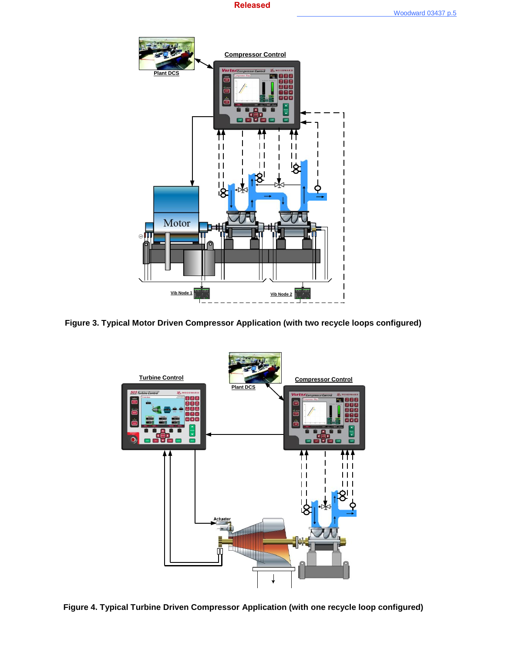



**Figure 3. Typical Motor Driven Compressor Application (with two recycle loops configured)**



**Figure 4. Typical Turbine Driven Compressor Application (with one recycle loop configured)**